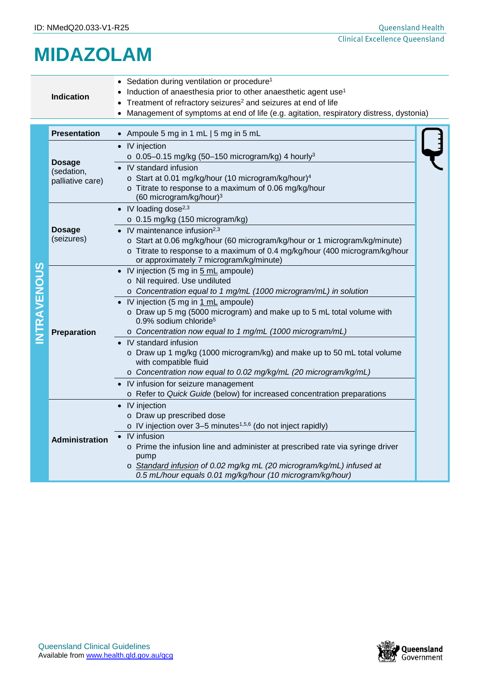## **MIDAZOLAM**

| • Sedation during ventilation or procedure <sup>1</sup><br>• Induction of anaesthesia prior to other anaesthetic agent use <sup>1</sup><br><b>Indication</b><br>• Treatment of refractory seizures <sup>2</sup> and seizures at end of life<br>• Management of symptoms at end of life (e.g. agitation, respiratory distress, dystonia) |                                                 |                                                                                                                                                                                                                                                                                                                                                                                                                                                                                                                                                                                                                                                                                   |  |  |  |  |
|-----------------------------------------------------------------------------------------------------------------------------------------------------------------------------------------------------------------------------------------------------------------------------------------------------------------------------------------|-------------------------------------------------|-----------------------------------------------------------------------------------------------------------------------------------------------------------------------------------------------------------------------------------------------------------------------------------------------------------------------------------------------------------------------------------------------------------------------------------------------------------------------------------------------------------------------------------------------------------------------------------------------------------------------------------------------------------------------------------|--|--|--|--|
|                                                                                                                                                                                                                                                                                                                                         |                                                 |                                                                                                                                                                                                                                                                                                                                                                                                                                                                                                                                                                                                                                                                                   |  |  |  |  |
| NTRAVENOUS                                                                                                                                                                                                                                                                                                                              | <b>Presentation</b>                             | • Ampoule 5 mg in 1 mL   5 mg in 5 mL                                                                                                                                                                                                                                                                                                                                                                                                                                                                                                                                                                                                                                             |  |  |  |  |
|                                                                                                                                                                                                                                                                                                                                         | <b>Dosage</b><br>(sedation,<br>palliative care) | • IV injection<br>$\circ$ 0.05-0.15 mg/kg (50-150 microgram/kg) 4 hourly <sup>3</sup><br>• IV standard infusion<br>o Start at 0.01 mg/kg/hour (10 microgram/kg/hour) <sup>4</sup><br>o Titrate to response to a maximum of 0.06 mg/kg/hour<br>(60 microgram/kg/hour) <sup>3</sup>                                                                                                                                                                                                                                                                                                                                                                                                 |  |  |  |  |
|                                                                                                                                                                                                                                                                                                                                         | <b>Dosage</b><br>(seizures)                     | • IV loading dose $^{2,3}$<br>o 0.15 mg/kg (150 microgram/kg)<br>$\bullet$ IV maintenance infusion <sup>2,3</sup><br>o Start at 0.06 mg/kg/hour (60 microgram/kg/hour or 1 microgram/kg/minute)<br>o Titrate to response to a maximum of 0.4 mg/kg/hour (400 microgram/kg/hour<br>or approximately 7 microgram/kg/minute)                                                                                                                                                                                                                                                                                                                                                         |  |  |  |  |
|                                                                                                                                                                                                                                                                                                                                         | Preparation                                     | • IV injection (5 mg in 5 mL ampoule)<br>o Nil required. Use undiluted<br>o Concentration equal to 1 mg/mL (1000 microgram/mL) in solution<br>• IV injection (5 mg in 1 mL ampoule)<br>o Draw up 5 mg (5000 microgram) and make up to 5 mL total volume with<br>0.9% sodium chloride <sup>5</sup><br>o Concentration now equal to 1 mg/mL (1000 microgram/mL)<br>• IV standard infusion<br>o Draw up 1 mg/kg (1000 microgram/kg) and make up to 50 mL total volume<br>with compatible fluid<br>o Concentration now equal to 0.02 mg/kg/mL (20 microgram/kg/mL)<br>• IV infusion for seizure management<br>o Refer to Quick Guide (below) for increased concentration preparations |  |  |  |  |
|                                                                                                                                                                                                                                                                                                                                         | <b>Administration</b>                           | • IV injection<br>o Draw up prescribed dose<br>o IV injection over 3-5 minutes <sup>1,5,6</sup> (do not inject rapidly)<br>• IV infusion<br>o Prime the infusion line and administer at prescribed rate via syringe driver<br>pump<br>o Standard infusion of 0.02 mg/kg mL (20 microgram/kg/mL) infused at<br>0.5 mL/hour equals 0.01 mg/kg/hour (10 microgram/kg/hour)                                                                                                                                                                                                                                                                                                           |  |  |  |  |

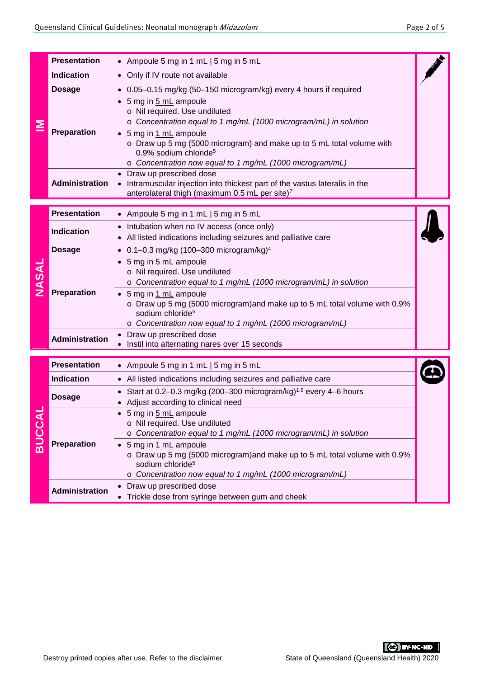|               | <b>Presentation</b>                         | • Ampoule 5 mg in 1 mL $\mid$ 5 mg in 5 mL                                                                                                                                                                                                                                                                                                                                                                                                                                                 |  |  |  |
|---------------|---------------------------------------------|--------------------------------------------------------------------------------------------------------------------------------------------------------------------------------------------------------------------------------------------------------------------------------------------------------------------------------------------------------------------------------------------------------------------------------------------------------------------------------------------|--|--|--|
|               | <b>Indication</b>                           | • Only if IV route not available                                                                                                                                                                                                                                                                                                                                                                                                                                                           |  |  |  |
|               | <b>Dosage</b>                               | • 0.05-0.15 mg/kg (50-150 microgram/kg) every 4 hours if required                                                                                                                                                                                                                                                                                                                                                                                                                          |  |  |  |
|               | Preparation<br><b>Administration</b>        | • 5 mg in 5 mL ampoule<br>o Nil required. Use undiluted<br>o Concentration equal to 1 mg/mL (1000 microgram/mL) in solution<br>5 mg in 1 mL ampoule<br>o Draw up 5 mg (5000 microgram) and make up to 5 mL total volume with<br>$0.9\%$ sodium chloride <sup>5</sup><br>o Concentration now equal to 1 mg/mL (1000 microgram/mL)<br>Draw up prescribed dose<br>Intramuscular injection into thickest part of the vastus lateralis in the<br>anterolateral thigh (maximum 0.5 mL per site)7 |  |  |  |
|               | <b>Presentation</b>                         | • Ampoule 5 mg in 1 mL   5 mg in 5 mL                                                                                                                                                                                                                                                                                                                                                                                                                                                      |  |  |  |
|               |                                             | Intubation when no IV access (once only)                                                                                                                                                                                                                                                                                                                                                                                                                                                   |  |  |  |
|               | <b>Indication</b>                           | All listed indications including seizures and palliative care                                                                                                                                                                                                                                                                                                                                                                                                                              |  |  |  |
|               | <b>Dosage</b>                               | • 0.1–0.3 mg/kg (100–300 microgram/kg) <sup>4</sup>                                                                                                                                                                                                                                                                                                                                                                                                                                        |  |  |  |
| <b>JASAL</b>  | <b>Preparation</b><br><b>Administration</b> | • 5 mg in 5 mL ampoule<br>o Nil required. Use undiluted<br>o Concentration equal to 1 mg/mL (1000 microgram/mL) in solution<br>5 mg in 1 mL ampoule<br>o Draw up 5 mg (5000 microgram) and make up to 5 mL total volume with 0.9%<br>sodium chloride <sup>5</sup><br>o Concentration now equal to 1 mg/mL (1000 microgram/mL)<br>Draw up prescribed dose<br>• Instil into alternating nares over 15 seconds                                                                                |  |  |  |
|               |                                             |                                                                                                                                                                                                                                                                                                                                                                                                                                                                                            |  |  |  |
|               |                                             |                                                                                                                                                                                                                                                                                                                                                                                                                                                                                            |  |  |  |
|               | <b>Presentation</b>                         | • Ampoule 5 mg in 1 mL   5 mg in 5 mL                                                                                                                                                                                                                                                                                                                                                                                                                                                      |  |  |  |
|               | <b>Indication</b><br><b>Dosage</b>          | • All listed indications including seizures and palliative care<br>Start at 0.2-0.3 mg/kg (200-300 microgram/kg) <sup>1,6</sup> every 4-6 hours                                                                                                                                                                                                                                                                                                                                            |  |  |  |
| <b>BUCCAL</b> | Preparation                                 | Adjust according to clinical need<br>5 mg in 5 mL ampoule<br>o Nil required. Use undiluted<br>o Concentration equal to 1 mg/mL (1000 microgram/mL) in solution<br>5 mg in 1 mL ampoule<br>o Draw up 5 mg (5000 microgram) and make up to 5 mL total volume with 0.9%<br>sodium chloride <sup>5</sup><br>o Concentration now equal to 1 mg/mL (1000 microgram/mL)                                                                                                                           |  |  |  |
|               | <b>Administration</b>                       | Draw up prescribed dose<br>Trickle dose from syringe between gum and cheek                                                                                                                                                                                                                                                                                                                                                                                                                 |  |  |  |
|               |                                             | <b>CO</b> BY-NC-ND<br>Destroy printed copies after use. Refer to the disclaimer<br>State of Queensland (Queensland Health) 2020                                                                                                                                                                                                                                                                                                                                                            |  |  |  |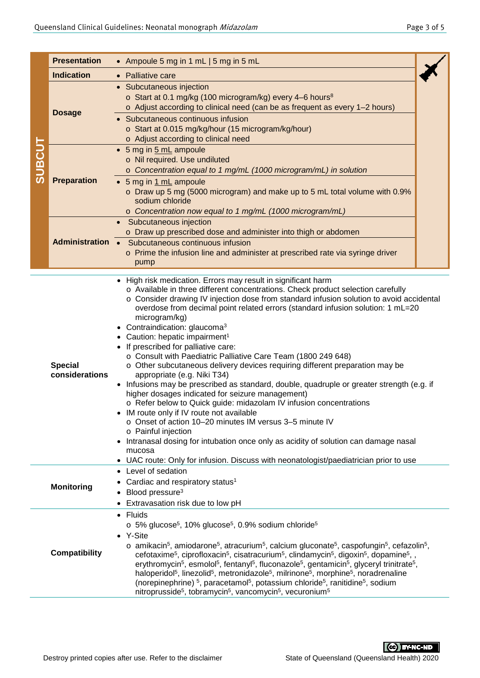|                                  | <b>Presentation</b>  | • Ampoule 5 mg in 1 mL   5 mg in 5 mL                                                                                                                                                                                                                                                                                                                                                                                                                                                                                                                                                                                                                                                                                                                                                                                                                                                                                                                                                                                                                                                                                                                                                                                  |  |  |  |
|----------------------------------|----------------------|------------------------------------------------------------------------------------------------------------------------------------------------------------------------------------------------------------------------------------------------------------------------------------------------------------------------------------------------------------------------------------------------------------------------------------------------------------------------------------------------------------------------------------------------------------------------------------------------------------------------------------------------------------------------------------------------------------------------------------------------------------------------------------------------------------------------------------------------------------------------------------------------------------------------------------------------------------------------------------------------------------------------------------------------------------------------------------------------------------------------------------------------------------------------------------------------------------------------|--|--|--|
|                                  | <b>Indication</b>    | • Palliative care                                                                                                                                                                                                                                                                                                                                                                                                                                                                                                                                                                                                                                                                                                                                                                                                                                                                                                                                                                                                                                                                                                                                                                                                      |  |  |  |
|                                  |                      | • Subcutaneous injection                                                                                                                                                                                                                                                                                                                                                                                                                                                                                                                                                                                                                                                                                                                                                                                                                                                                                                                                                                                                                                                                                                                                                                                               |  |  |  |
|                                  |                      | o Start at 0.1 mg/kg (100 microgram/kg) every 4-6 hours <sup>8</sup>                                                                                                                                                                                                                                                                                                                                                                                                                                                                                                                                                                                                                                                                                                                                                                                                                                                                                                                                                                                                                                                                                                                                                   |  |  |  |
| <b>SUBCUT</b>                    | <b>Dosage</b>        | o Adjust according to clinical need (can be as frequent as every 1-2 hours)                                                                                                                                                                                                                                                                                                                                                                                                                                                                                                                                                                                                                                                                                                                                                                                                                                                                                                                                                                                                                                                                                                                                            |  |  |  |
|                                  |                      | • Subcutaneous continuous infusion                                                                                                                                                                                                                                                                                                                                                                                                                                                                                                                                                                                                                                                                                                                                                                                                                                                                                                                                                                                                                                                                                                                                                                                     |  |  |  |
|                                  |                      | o Start at 0.015 mg/kg/hour (15 microgram/kg/hour)                                                                                                                                                                                                                                                                                                                                                                                                                                                                                                                                                                                                                                                                                                                                                                                                                                                                                                                                                                                                                                                                                                                                                                     |  |  |  |
|                                  |                      | o Adjust according to clinical need                                                                                                                                                                                                                                                                                                                                                                                                                                                                                                                                                                                                                                                                                                                                                                                                                                                                                                                                                                                                                                                                                                                                                                                    |  |  |  |
|                                  |                      | 5 mg in 5 mL ampoule                                                                                                                                                                                                                                                                                                                                                                                                                                                                                                                                                                                                                                                                                                                                                                                                                                                                                                                                                                                                                                                                                                                                                                                                   |  |  |  |
|                                  | <b>Preparation</b>   | o Nil required. Use undiluted                                                                                                                                                                                                                                                                                                                                                                                                                                                                                                                                                                                                                                                                                                                                                                                                                                                                                                                                                                                                                                                                                                                                                                                          |  |  |  |
|                                  |                      | o Concentration equal to 1 mg/mL (1000 microgram/mL) in solution                                                                                                                                                                                                                                                                                                                                                                                                                                                                                                                                                                                                                                                                                                                                                                                                                                                                                                                                                                                                                                                                                                                                                       |  |  |  |
|                                  |                      | • 5 mg in 1 mL ampoule<br>o Draw up 5 mg (5000 microgram) and make up to 5 mL total volume with 0.9%                                                                                                                                                                                                                                                                                                                                                                                                                                                                                                                                                                                                                                                                                                                                                                                                                                                                                                                                                                                                                                                                                                                   |  |  |  |
|                                  |                      | sodium chloride                                                                                                                                                                                                                                                                                                                                                                                                                                                                                                                                                                                                                                                                                                                                                                                                                                                                                                                                                                                                                                                                                                                                                                                                        |  |  |  |
|                                  |                      | o Concentration now equal to 1 mg/mL (1000 microgram/mL)                                                                                                                                                                                                                                                                                                                                                                                                                                                                                                                                                                                                                                                                                                                                                                                                                                                                                                                                                                                                                                                                                                                                                               |  |  |  |
|                                  |                      | • Subcutaneous injection                                                                                                                                                                                                                                                                                                                                                                                                                                                                                                                                                                                                                                                                                                                                                                                                                                                                                                                                                                                                                                                                                                                                                                                               |  |  |  |
|                                  |                      | o Draw up prescribed dose and administer into thigh or abdomen                                                                                                                                                                                                                                                                                                                                                                                                                                                                                                                                                                                                                                                                                                                                                                                                                                                                                                                                                                                                                                                                                                                                                         |  |  |  |
|                                  |                      | Administration • Subcutaneous continuous infusion                                                                                                                                                                                                                                                                                                                                                                                                                                                                                                                                                                                                                                                                                                                                                                                                                                                                                                                                                                                                                                                                                                                                                                      |  |  |  |
|                                  |                      | o Prime the infusion line and administer at prescribed rate via syringe driver                                                                                                                                                                                                                                                                                                                                                                                                                                                                                                                                                                                                                                                                                                                                                                                                                                                                                                                                                                                                                                                                                                                                         |  |  |  |
|                                  |                      | pump                                                                                                                                                                                                                                                                                                                                                                                                                                                                                                                                                                                                                                                                                                                                                                                                                                                                                                                                                                                                                                                                                                                                                                                                                   |  |  |  |
| <b>Special</b><br>considerations |                      | High risk medication. Errors may result in significant harm<br>o Available in three different concentrations. Check product selection carefully<br>o Consider drawing IV injection dose from standard infusion solution to avoid accidental<br>overdose from decimal point related errors (standard infusion solution: 1 mL=20<br>microgram/kg)<br>• Contraindication: glaucoma <sup>3</sup><br>Caution: hepatic impairment <sup>1</sup><br>If prescribed for palliative care:<br>o Consult with Paediatric Palliative Care Team (1800 249 648)<br>o Other subcutaneous delivery devices requiring different preparation may be<br>appropriate (e.g. Niki T34)<br>Infusions may be prescribed as standard, double, quadruple or greater strength (e.g. if<br>higher dosages indicated for seizure management)<br>o Refer below to Quick guide: midazolam IV infusion concentrations<br>IM route only if IV route not available<br>o Onset of action 10–20 minutes IM versus 3–5 minute IV<br>o Painful injection<br>Intranasal dosing for intubation once only as acidity of solution can damage nasal<br>$\bullet$<br>mucosa<br>• UAC route: Only for infusion. Discuss with neonatologist/paediatrician prior to use |  |  |  |
|                                  |                      | Level of sedation<br>$\bullet$                                                                                                                                                                                                                                                                                                                                                                                                                                                                                                                                                                                                                                                                                                                                                                                                                                                                                                                                                                                                                                                                                                                                                                                         |  |  |  |
|                                  | <b>Monitoring</b>    | Cardiac and respiratory status <sup>1</sup>                                                                                                                                                                                                                                                                                                                                                                                                                                                                                                                                                                                                                                                                                                                                                                                                                                                                                                                                                                                                                                                                                                                                                                            |  |  |  |
|                                  |                      | Blood pressure <sup>3</sup><br>Extravasation risk due to low pH                                                                                                                                                                                                                                                                                                                                                                                                                                                                                                                                                                                                                                                                                                                                                                                                                                                                                                                                                                                                                                                                                                                                                        |  |  |  |
|                                  | <b>Compatibility</b> | Fluids                                                                                                                                                                                                                                                                                                                                                                                                                                                                                                                                                                                                                                                                                                                                                                                                                                                                                                                                                                                                                                                                                                                                                                                                                 |  |  |  |
|                                  |                      | $\bullet$<br>o 5% glucose <sup>5</sup> , 10% glucose <sup>5</sup> , 0.9% sodium chloride <sup>5</sup>                                                                                                                                                                                                                                                                                                                                                                                                                                                                                                                                                                                                                                                                                                                                                                                                                                                                                                                                                                                                                                                                                                                  |  |  |  |
|                                  |                      | • Y-Site                                                                                                                                                                                                                                                                                                                                                                                                                                                                                                                                                                                                                                                                                                                                                                                                                                                                                                                                                                                                                                                                                                                                                                                                               |  |  |  |
|                                  |                      | $\circ$ amikacin <sup>5</sup> , amiodarone <sup>5</sup> , atracurium <sup>5</sup> , calcium gluconate <sup>5</sup> , caspofungin <sup>5</sup> , cefazolin <sup>5</sup> ,                                                                                                                                                                                                                                                                                                                                                                                                                                                                                                                                                                                                                                                                                                                                                                                                                                                                                                                                                                                                                                               |  |  |  |
|                                  |                      | cefotaxime <sup>5</sup> , ciprofloxacin <sup>5</sup> , cisatracurium <sup>5</sup> , clindamycin <sup>5</sup> , digoxin <sup>5</sup> , dopamine <sup>5</sup> , ,<br>erythromycin <sup>5</sup> , esmolol <sup>5</sup> , fentanyl <sup>5</sup> , fluconazole <sup>5</sup> , gentamicin <sup>5</sup> , glyceryl trinitrate <sup>5</sup> ,<br>haloperidol <sup>5</sup> , linezolid <sup>5</sup> , metronidazole <sup>5</sup> , milrinone <sup>5</sup> , morphine <sup>5</sup> , noradrenaline<br>(norepinephrine) <sup>5</sup> , paracetamol <sup>5</sup> , potassium chloride <sup>5</sup> , ranitidine <sup>5</sup> , sodium<br>nitroprusside <sup>5</sup> , tobramycin <sup>5</sup> , vancomycin <sup>5</sup> , vecuronium <sup>5</sup>                                                                                                                                                                                                                                                                                                                                                                                                                                                                                  |  |  |  |
|                                  |                      |                                                                                                                                                                                                                                                                                                                                                                                                                                                                                                                                                                                                                                                                                                                                                                                                                                                                                                                                                                                                                                                                                                                                                                                                                        |  |  |  |
|                                  |                      | CC BY-NC-ND<br>State of Queensland (Queensland Health) 2020<br>Destroy printed copies after use. Refer to the disclaimer                                                                                                                                                                                                                                                                                                                                                                                                                                                                                                                                                                                                                                                                                                                                                                                                                                                                                                                                                                                                                                                                                               |  |  |  |
|                                  |                      |                                                                                                                                                                                                                                                                                                                                                                                                                                                                                                                                                                                                                                                                                                                                                                                                                                                                                                                                                                                                                                                                                                                                                                                                                        |  |  |  |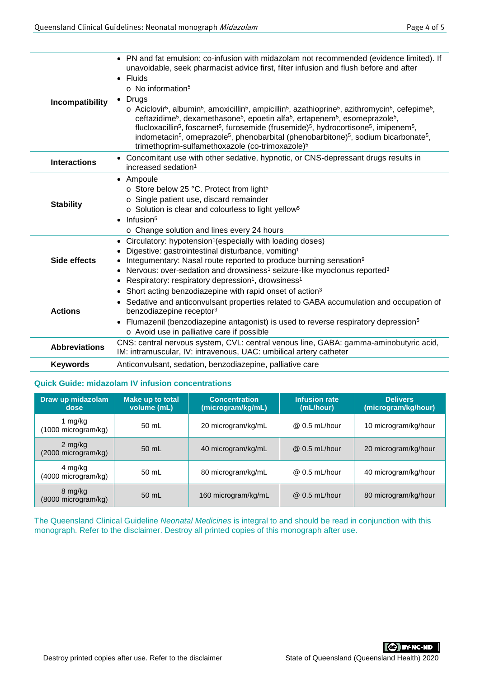| Incompatibility      | • PN and fat emulsion: co-infusion with midazolam not recommended (evidence limited). If<br>unavoidable, seek pharmacist advice first, filter infusion and flush before and after<br>Fluids<br>$\bullet$<br>$\circ$ No information <sup>5</sup><br>Drugs<br>$\bullet$<br>$\circ$ Aciclovir <sup>5</sup> , albumin <sup>5</sup> , amoxicillin <sup>5</sup> , ampicillin <sup>5</sup> , azathioprine <sup>5</sup> , azithromycin <sup>5</sup> , cefepime <sup>5</sup> ,<br>ceftazidime <sup>5</sup> , dexamethasone <sup>5</sup> , epoetin alfa <sup>5</sup> , ertapenem <sup>5</sup> , esomeprazole <sup>5</sup> ,<br>flucloxacillin <sup>5</sup> , foscarnet <sup>5</sup> , furosemide (frusemide) <sup>5</sup> , hydrocortisone <sup>5</sup> , imipenem <sup>5</sup> ,<br>indometacin <sup>5</sup> , omeprazole <sup>5</sup> , phenobarbital (phenobarbitone) <sup>5</sup> , sodium bicarbonate <sup>5</sup> ,<br>trimethoprim-sulfamethoxazole (co-trimoxazole) <sup>5</sup> |
|----------------------|--------------------------------------------------------------------------------------------------------------------------------------------------------------------------------------------------------------------------------------------------------------------------------------------------------------------------------------------------------------------------------------------------------------------------------------------------------------------------------------------------------------------------------------------------------------------------------------------------------------------------------------------------------------------------------------------------------------------------------------------------------------------------------------------------------------------------------------------------------------------------------------------------------------------------------------------------------------------------------|
| <b>Interactions</b>  | • Concomitant use with other sedative, hypnotic, or CNS-depressant drugs results in<br>increased sedation <sup>1</sup>                                                                                                                                                                                                                                                                                                                                                                                                                                                                                                                                                                                                                                                                                                                                                                                                                                                         |
| <b>Stability</b>     | • Ampoule<br>○ Store below 25 °C. Protect from light <sup>5</sup><br>o Single patient use, discard remainder<br>o Solution is clear and colourless to light yellow <sup>5</sup><br>$\bullet$ Infusion <sup>5</sup><br>o Change solution and lines every 24 hours                                                                                                                                                                                                                                                                                                                                                                                                                                                                                                                                                                                                                                                                                                               |
| Side effects         | Circulatory: hypotension <sup>1</sup> (especially with loading doses)<br>$\bullet$<br>Digestive: gastrointestinal disturbance, vomiting <sup>1</sup><br>Integumentary: Nasal route reported to produce burning sensation <sup>9</sup><br>Nervous: over-sedation and drowsiness <sup>1</sup> seizure-like myoclonus reported <sup>3</sup><br>• Respiratory: respiratory depression <sup>1</sup> , drowsiness <sup>1</sup>                                                                                                                                                                                                                                                                                                                                                                                                                                                                                                                                                       |
| <b>Actions</b>       | • Short acting benzodiazepine with rapid onset of action <sup>3</sup><br>Sedative and anticonvulsant properties related to GABA accumulation and occupation of<br>benzodiazepine receptor <sup>3</sup><br>• Flumazenil (benzodiazepine antagonist) is used to reverse respiratory depression <sup>5</sup><br>o Avoid use in palliative care if possible                                                                                                                                                                                                                                                                                                                                                                                                                                                                                                                                                                                                                        |
| <b>Abbreviations</b> | CNS: central nervous system, CVL: central venous line, GABA: gamma-aminobutyric acid,<br>IM: intramuscular, IV: intravenous, UAC: umbilical artery catheter                                                                                                                                                                                                                                                                                                                                                                                                                                                                                                                                                                                                                                                                                                                                                                                                                    |
| <b>Keywords</b>      | Anticonvulsant, sedation, benzodiazepine, palliative care                                                                                                                                                                                                                                                                                                                                                                                                                                                                                                                                                                                                                                                                                                                                                                                                                                                                                                                      |

## **Quick Guide: midazolam IV infusion concentrations**

| Draw up midazolam<br>dose      | <b>Make up to total</b><br>volume (mL) | <b>Concentration</b><br>(microgram/kg/mL) | <b>Infusion rate</b><br>(mL/hour) | <b>Delivers</b><br>(microgram/kg/hour) |  |
|--------------------------------|----------------------------------------|-------------------------------------------|-----------------------------------|----------------------------------------|--|
| 1 mg/kg<br>(1000 microgram/kg) | 50 mL                                  | 20 microgram/kg/mL                        | @ 0.5 mL/hour                     | 10 microgram/kg/hour                   |  |
| 2 mg/kg<br>(2000 microgram/kg) | 50 mL                                  | 40 microgram/kg/mL                        | @ 0.5 mL/hour                     | 20 microgram/kg/hour                   |  |
| 4 mg/kg<br>(4000 microgram/kg) | 50 mL                                  | 80 microgram/kg/mL                        | @ 0.5 mL/hour                     | 40 microgram/kg/hour                   |  |
| 8 mg/kg<br>(8000 microgram/kg) | 50 mL                                  | 160 microgram/kg/mL                       | $@0.5$ mL/hour                    | 80 microgram/kg/hour                   |  |

The Queensland Clinical Guideline *Neonatal Medicines* is integral to and should be read in conjunction with this monograph. Refer to the disclaimer. Destroy all printed copies of this monograph after use.